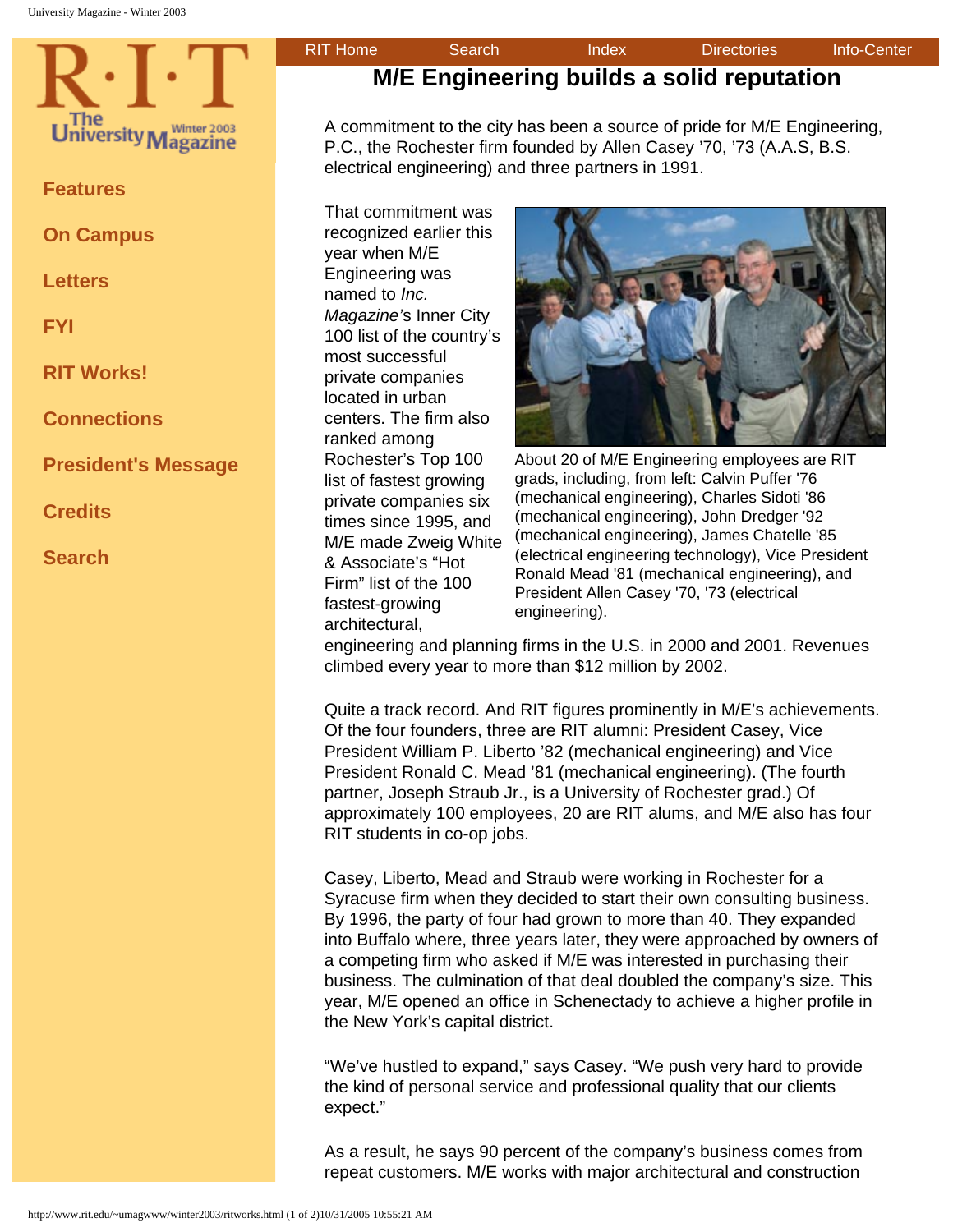<span id="page-0-1"></span><span id="page-0-0"></span>

**[Features](http://www.rit.edu/~umagwww/winter2003/features.html)**

**[On Campus](http://www.rit.edu/~umagwww/winter2003/onCampus.html)**

**[Letters](http://www.rit.edu/~umagwww/winter2003/letters.html)**

**[FYI](http://www.rit.edu/~umagwww/winter2003/fyi.html)**

**[RIT Works!](#page-0-0)**

**[Connections](http://www.rit.edu/~umagwww/winter2003/connections.html)**

**[President's Message](http://www.rit.edu/~umagwww/winter2003/president.html)**

**[Credits](http://www.rit.edu/~umagwww/winter2003/credits.html)**

**[Search](http://www.rit.edu/~umagwww/search.html)**

## **M/E Engineering builds a solid reputation**

A commitment to the city has been a source of pride for M/E Engineering, P.C., the Rochester firm founded by Allen Casey '70, '73 (A.A.S, B.S. electrical engineering) and three partners in 1991.

That commitment was recognized earlier this year when M/E Engineering was named to *Inc. Magazine'*s Inner City 100 list of the country's most successful private companies located in urban centers. The firm also ranked among Rochester's Top 100 list of fastest growing private companies six times since 1995, and M/E made Zweig White & Associate's "Hot Firm" list of the 100 fastest-growing architectural,



About 20 of M/E Engineering employees are RIT grads, including, from left: Calvin Puffer '76 (mechanical engineering), Charles Sidoti '86 (mechanical engineering), John Dredger '92 (mechanical engineering), James Chatelle '85 (electrical engineering technology), Vice President Ronald Mead '81 (mechanical engineering), and President Allen Casey '70, '73 (electrical engineering).

engineering and planning firms in the U.S. in 2000 and 2001. Revenues climbed every year to more than \$12 million by 2002.

Quite a track record. And RIT figures prominently in M/E's achievements. Of the four founders, three are RIT alumni: President Casey, Vice President William P. Liberto '82 (mechanical engineering) and Vice President Ronald C. Mead '81 (mechanical engineering). (The fourth partner, Joseph Straub Jr., is a University of Rochester grad.) Of approximately 100 employees, 20 are RIT alums, and M/E also has four RIT students in co-op jobs.

Casey, Liberto, Mead and Straub were working in Rochester for a Syracuse firm when they decided to start their own consulting business. By 1996, the party of four had grown to more than 40. They expanded into Buffalo where, three years later, they were approached by owners of a competing firm who asked if M/E was interested in purchasing their business. The culmination of that deal doubled the company's size. This year, M/E opened an office in Schenectady to achieve a higher profile in the New York's capital district.

"We've hustled to expand," says Casey. "We push very hard to provide the kind of personal service and professional quality that our clients expect."

As a result, he says 90 percent of the company's business comes from repeat customers. M/E works with major architectural and construction